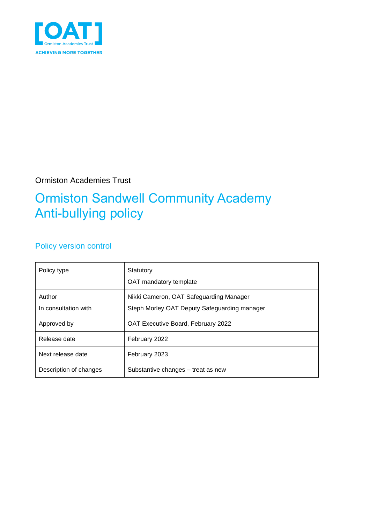

#### Ormiston Academies Trust

## Ormiston Sandwell Community Academy Anti-bullying policy

#### Policy version control

| Policy type                    | Statutory<br>OAT mandatory template                                                     |
|--------------------------------|-----------------------------------------------------------------------------------------|
| Author<br>In consultation with | Nikki Cameron, OAT Safeguarding Manager<br>Steph Morley OAT Deputy Safeguarding manager |
| Approved by                    | OAT Executive Board, February 2022                                                      |
| Release date                   | February 2022                                                                           |
| Next release date              | February 2023                                                                           |
| Description of changes         | Substantive changes – treat as new                                                      |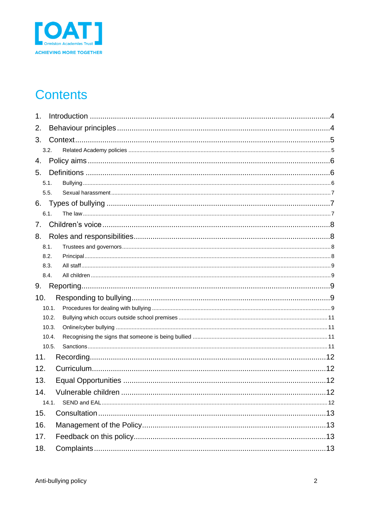

## **Contents**

| 1.  |       |  |  |  |  |
|-----|-------|--|--|--|--|
| 2.  |       |  |  |  |  |
| 3.  |       |  |  |  |  |
|     | 3.2.  |  |  |  |  |
| 4.  |       |  |  |  |  |
| 5.  |       |  |  |  |  |
|     | 5.1.  |  |  |  |  |
|     | 5.5.  |  |  |  |  |
| 6.  |       |  |  |  |  |
|     | 6.1.  |  |  |  |  |
| 7.  |       |  |  |  |  |
| 8.  |       |  |  |  |  |
|     | 8.1.  |  |  |  |  |
|     | 8.2.  |  |  |  |  |
|     | 8.3.  |  |  |  |  |
|     | 8.4.  |  |  |  |  |
| 9.  |       |  |  |  |  |
| 10. |       |  |  |  |  |
|     | 10.1. |  |  |  |  |
|     | 10.2. |  |  |  |  |
|     | 10.3. |  |  |  |  |
|     | 10.4. |  |  |  |  |
|     | 10.5. |  |  |  |  |
| 11. |       |  |  |  |  |
| 12. |       |  |  |  |  |
| 13. |       |  |  |  |  |
| 14. |       |  |  |  |  |
|     | 14.1. |  |  |  |  |
| 15. |       |  |  |  |  |
| 16. |       |  |  |  |  |
| 17. |       |  |  |  |  |
| 18. |       |  |  |  |  |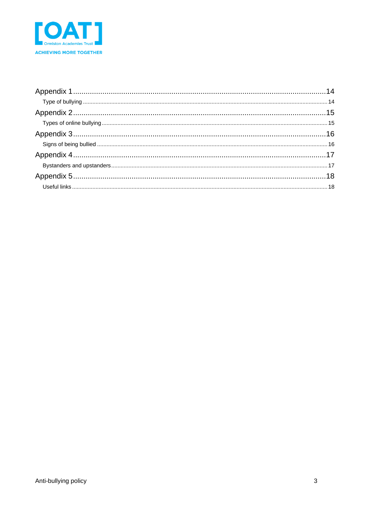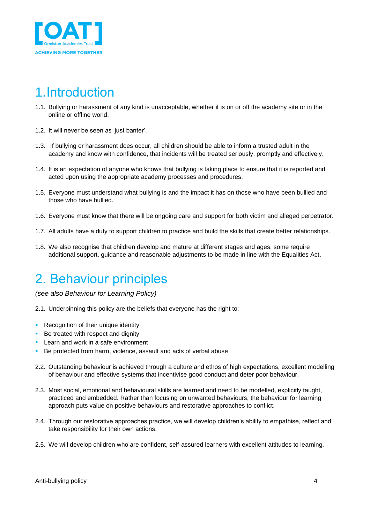

### <span id="page-3-0"></span>1.Introduction

- 1.1. Bullying or harassment of any kind is unacceptable, whether it is on or off the academy site or in the online or offline world.
- 1.2. It will never be seen as 'just banter'.
- 1.3. If bullying or harassment does occur, all children should be able to inform a trusted adult in the academy and know with confidence, that incidents will be treated seriously, promptly and effectively.
- 1.4. It is an expectation of anyone who knows that bullying is taking place to ensure that it is reported and acted upon using the appropriate academy processes and procedures.
- 1.5. Everyone must understand what bullying is and the impact it has on those who have been bullied and those who have bullied.
- 1.6. Everyone must know that there will be ongoing care and support for both victim and alleged perpetrator.
- 1.7. All adults have a duty to support children to practice and build the skills that create better relationships.
- 1.8. We also recognise that children develop and mature at different stages and ages; some require additional support, guidance and reasonable adjustments to be made in line with the Equalities Act.

### <span id="page-3-1"></span>2. Behaviour principles

*(see also Behaviour for Learning Policy)*

- 2.1. Underpinning this policy are the beliefs that everyone has the right to:
- **Recognition of their unique identity**
- Be treated with respect and dignity
- **EXEC** Learn and work in a safe environment
- Be protected from harm, violence, assault and acts of verbal abuse
- 2.2. Outstanding behaviour is achieved through a culture and ethos of high expectations, excellent modelling of behaviour and effective systems that incentivise good conduct and deter poor behaviour.
- 2.3. Most social, emotional and behavioural skills are learned and need to be modelled, explicitly taught, practiced and embedded. Rather than focusing on unwanted behaviours, the behaviour for learning approach puts value on positive behaviours and restorative approaches to conflict.
- 2.4. Through our restorative approaches practice, we will develop children's ability to empathise, reflect and take responsibility for their own actions.
- 2.5. We will develop children who are confident, self-assured learners with excellent attitudes to learning.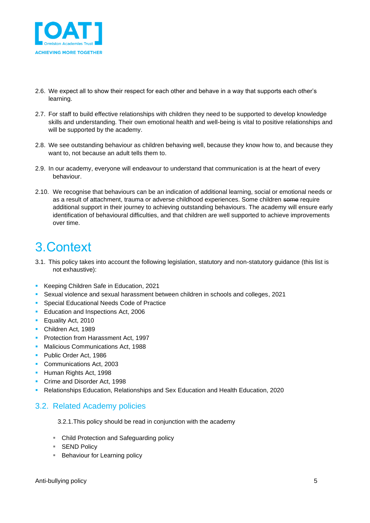

- 2.6. We expect all to show their respect for each other and behave in a way that supports each other's learning.
- 2.7. For staff to build effective relationships with children they need to be supported to develop knowledge skills and understanding. Their own emotional health and well-being is vital to positive relationships and will be supported by the academy.
- 2.8. We see outstanding behaviour as children behaving well, because they know how to, and because they want to, not because an adult tells them to.
- 2.9. In our academy, everyone will endeavour to understand that communication is at the heart of every behaviour.
- 2.10. We recognise that behaviours can be an indication of additional learning, social or emotional needs or as a result of attachment, trauma or adverse childhood experiences. Some children some require additional support in their journey to achieving outstanding behaviours. The academy will ensure early identification of behavioural difficulties, and that children are well supported to achieve improvements over time.

### <span id="page-4-0"></span>3.Context

- 3.1. This policy takes into account the following legislation, statutory and non-statutory guidance (this list is not exhaustive):
- Keeping Children Safe in Education, 2021
- Sexual violence and sexual harassment between children in schools and colleges, 2021
- Special Educational Needs Code of Practice
- **Education and Inspections Act, 2006**
- Equality Act, 2010
- Children Act, 1989
- **Protection from Harassment Act, 1997**
- **E** Malicious Communications Act, 1988
- Public Order Act, 1986
- Communications Act, 2003
- **· Human Rights Act, 1998**
- Crime and Disorder Act, 1998
- Relationships Education, Relationships and Sex Education and Health Education, 2020

#### <span id="page-4-1"></span>3.2. Related Academy policies

3.2.1.This policy should be read in conjunction with the academy

- Child Protection and Safeguarding policy
- SEND Policy
- Behaviour for Learning policy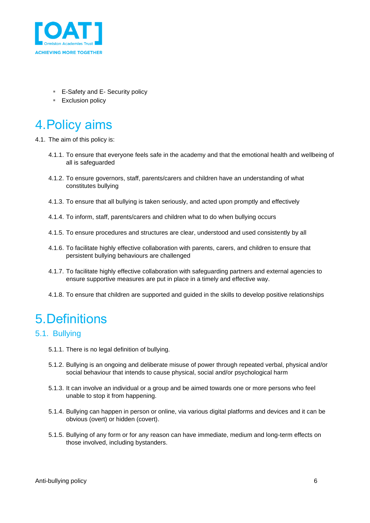

- E-Safety and E- Security policy
- Exclusion policy

## <span id="page-5-0"></span>4.Policy aims

4.1. The aim of this policy is:

- 4.1.1. To ensure that everyone feels safe in the academy and that the emotional health and wellbeing of all is safeguarded
- 4.1.2. To ensure governors, staff, parents/carers and children have an understanding of what constitutes bullying
- 4.1.3. To ensure that all bullying is taken seriously, and acted upon promptly and effectively
- 4.1.4. To inform, staff, parents/carers and children what to do when bullying occurs
- 4.1.5. To ensure procedures and structures are clear, understood and used consistently by all
- 4.1.6. To facilitate highly effective collaboration with parents, carers, and children to ensure that persistent bullying behaviours are challenged
- 4.1.7. To facilitate highly effective collaboration with safeguarding partners and external agencies to ensure supportive measures are put in place in a timely and effective way.
- 4.1.8. To ensure that children are supported and guided in the skills to develop positive relationships

## <span id="page-5-1"></span>5.Definitions

#### <span id="page-5-2"></span>5.1. Bullying

- 5.1.1. There is no legal definition of bullying.
- 5.1.2. Bullying is an ongoing and deliberate misuse of power through repeated verbal, physical and/or social behaviour that intends to cause physical, social and/or psychological harm
- 5.1.3. It can involve an individual or a group and be aimed towards one or more persons who feel unable to stop it from happening.
- 5.1.4. Bullying can happen in person or online, via various digital platforms and devices and it can be obvious (overt) or hidden (covert).
- 5.1.5. Bullying of any form or for any reason can have immediate, medium and long-term effects on those involved, including bystanders.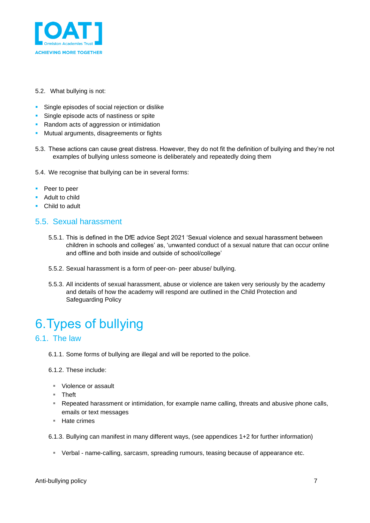

#### 5.2. What bullying is not:

- **EXECTE:** Single episodes of social rejection or dislike
- **·** Single episode acts of nastiness or spite
- Random acts of aggression or intimidation
- **■** Mutual arguments, disagreements or fights
- 5.3. These actions can cause great distress. However, they do not fit the definition of bullying and they're not examples of bullying unless someone is deliberately and repeatedly doing them
- 5.4. We recognise that bullying can be in several forms:
- Peer to peer
- Adult to child
- Child to adult

#### <span id="page-6-0"></span>5.5. Sexual harassment

- 5.5.1. This is defined in the DfE advice Sept 2021 'Sexual violence and sexual harassment between children in schools and colleges' as, 'unwanted conduct of a sexual nature that can occur online and offline and both inside and outside of school/college'
- 5.5.2. Sexual harassment is a form of peer-on- peer abuse/ bullying.
- 5.5.3. All incidents of sexual harassment, abuse or violence are taken very seriously by the academy and details of how the academy will respond are outlined in the Child Protection and Safeguarding Policy

## <span id="page-6-1"></span>6.Types of bullying

#### <span id="page-6-2"></span>6.1. The law

6.1.1. Some forms of bullying are illegal and will be reported to the police.

6.1.2. These include:

- Violence or assault
- Theft
- **EXE** Repeated harassment or intimidation, for example name calling, threats and abusive phone calls, emails or text messages
- Hate crimes

6.1.3. Bullying can manifest in many different ways, (see appendices 1+2 for further information)

▪ Verbal - name-calling, sarcasm, spreading rumours, teasing because of appearance etc.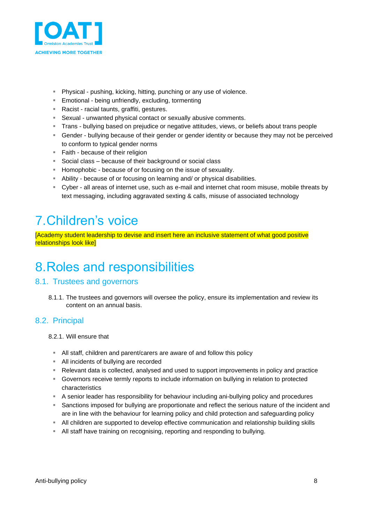

- Physical pushing, kicking, hitting, punching or any use of violence.
- **Emotional being unfriendly, excluding, tormenting**
- Racist racial taunts, graffiti, gestures.
- Sexual unwanted physical contact or sexually abusive comments.
- Trans bullying based on prejudice or negative attitudes, views, or beliefs about trans people
- **EX** Gender bullying because of their gender or gender identity or because they may not be perceived to conform to typical gender norms
- Faith because of their religion
- Social class because of their background or social class
- **EXEC** Homophobic because of or focusing on the issue of sexuality.
- Ability because of or focusing on learning and/ or physical disabilities.
- Cyber all areas of internet use, such as e-mail and internet chat room misuse, mobile threats by text messaging, including aggravated sexting & calls, misuse of associated technology

## <span id="page-7-0"></span>7.Children's voice

[Academy student leadership to devise and insert here an inclusive statement of what good positive relationships look like]

### <span id="page-7-1"></span>8.Roles and responsibilities

#### <span id="page-7-2"></span>8.1. Trustees and governors

8.1.1. The trustees and governors will oversee the policy, ensure its implementation and review its content on an annual basis.

#### <span id="page-7-3"></span>8.2. Principal

- 8.2.1. Will ensure that
	- All staff, children and parent/carers are aware of and follow this policy
	- All incidents of bullying are recorded
	- Relevant data is collected, analysed and used to support improvements in policy and practice
	- **EXECOVERGIST COVERTS** FOR GOVERNMENT COVERTS FOR COVERTS FOR THE SUPPORTS FOR SUPPORTS FOR SUPPORTS FOR SUPPORTS FOR SUPPORTS FOR SUPPORTS FOR SUPPORTS FOR SUPPORTS FOR SUPPORTS FOR SUPPORTS FOR SUPPORTS FOR SUPPORTS FOR characteristics
	- **EX A senior leader has responsibility for behaviour including ani-bullying policy and procedures**
	- **EXECT** Sanctions imposed for bullying are proportionate and reflect the serious nature of the incident and are in line with the behaviour for learning policy and child protection and safeguarding policy
	- **EXECT All children are supported to develop effective communication and relationship building skills**
	- **EXT** All staff have training on recognising, reporting and responding to bullying.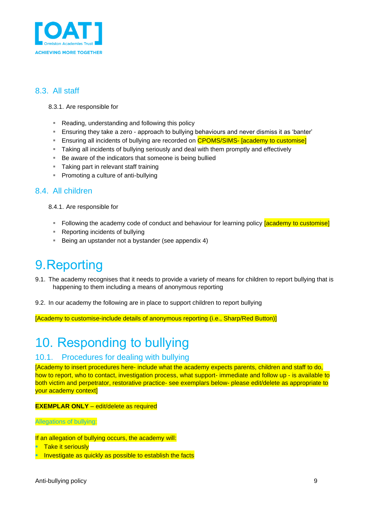

#### <span id="page-8-0"></span>8.3. All staff

#### 8.3.1. Are responsible for

- Reading, understanding and following this policy
- **E** Ensuring they take a zero approach to bullying behaviours and never dismiss it as 'banter'
- **Ensuring all incidents of bullying are recorded on CPOMS/SIMS- [academy to customise]**
- **EXED** Taking all incidents of bullying seriously and deal with them promptly and effectively
- Be aware of the indicators that someone is being bullied
- **Taking part in relevant staff training**
- Promoting a culture of anti-bullying

#### <span id="page-8-1"></span>8.4. All children

8.4.1. Are responsible for

- **EXTED** Following the academy code of conduct and behaviour for learning policy **[academy to customise]**
- Reporting incidents of bullying
- Being an upstander not a bystander (see appendix 4)

### <span id="page-8-2"></span>9.Reporting

- 9.1. The academy recognises that it needs to provide a variety of means for children to report bullying that is happening to them including a means of anonymous reporting
- 9.2. In our academy the following are in place to support children to report bullying

[Academy to customise-include details of anonymous reporting (i.e., Sharp/Red Button)]

## <span id="page-8-3"></span>10. Responding to bullying

#### <span id="page-8-4"></span>10.1. Procedures for dealing with bullying

[Academy to insert procedures here- include what the academy expects parents, children and staff to do, how to report, who to contact, investigation process, what support- immediate and follow up - is available to both victim and perpetrator, restorative practice- see exemplars below- please edit/delete as appropriate to your academy context]

#### **EXEMPLAR ONLY** – edit/delete as required

Allegations of bullying:

If an allegation of bullying occurs, the academy will:

- **Take it seriously**
- **E** Investigate as quickly as possible to establish the facts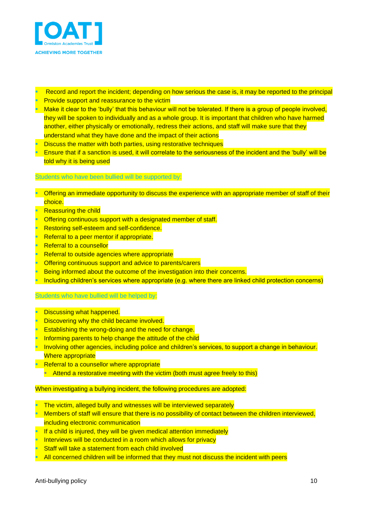

- **E.** Record and report the incident; depending on how serious the case is, it may be reported to the principal **Provide support and reassurance to the victim**
- $\blacksquare$  Make it clear to the 'bully' that this behaviour will not be tolerated. If there is a group of people involved, they will be spoken to individually and as a whole group. It is important that children who have harmed another, either physically or emotionally, redress their actions, and staff will make sure that they understand what they have done and the impact of their actions
- **E** Discuss the matter with both parties, using restorative techniques
- **Ensure that if a sanction is used, it will correlate to the seriousness of the incident and the 'bully' will be** told why it is being used

#### Students who have been bullied will be supported by:

- **Offering an immediate opportunity to discuss the experience with an appropriate member of staff of their** choice.
- **Reassuring the child**
- Offering continuous support with a designated member of staff.
- **Restoring self-esteem and self-confidence.**
- **Referral to a peer mentor if appropriate.**
- **Referral to a counsellor**
- **Referral to outside agencies where appropriate**
- Offering continuous support and advice to parents/carers
- Being informed about the outcome of the investigation into their concerns.
- Including children's services where appropriate (e.g. where there are linked child protection concerns)

#### Students who have bullied will be helped by:

- **E** Discussing what happened.
- **Discovering why the child became involved.**
- **Establishing the wrong-doing and the need for change.**
- **Informing parents to help change the attitude of the child**
- Involving other agencies, including police and children's services, to support a change in behaviour. Where appropriate
- **E.** Referral to a counsellor where appropriate
	- **E** Attend a restorative meeting with the victim (both must agree freely to this)

#### When investigating a bullying incident, the following procedures are adopted:

- **E** The victim, alleged bully and witnesses will be interviewed separately
- Members of staff will ensure that there is no possibility of contact between the children interviewed, including electronic communication
- $\blacksquare$  If a child is injured, they will be given medical attention immediately
- **Interviews will be conducted in a room which allows for privacy**
- **Staff will take a statement from each child involved**
- All concerned children will be informed that they must not discuss the incident with peers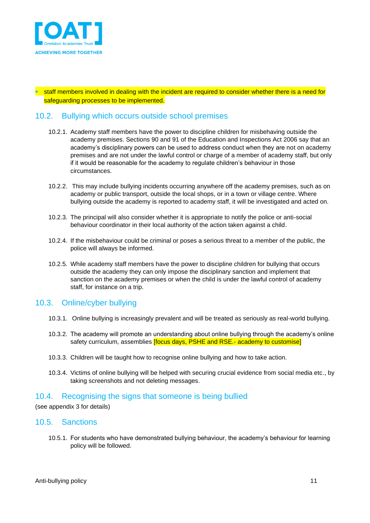

staff members involved in dealing with the incident are required to consider whether there is a need for safeguarding processes to be implemented.

#### <span id="page-10-0"></span>10.2. Bullying which occurs outside school premises

- 10.2.1. Academy staff members have the power to discipline children for misbehaving outside the academy premises. Sections 90 and 91 of the Education and Inspections Act 2006 say that an academy's disciplinary powers can be used to address conduct when they are not on academy premises and are not under the lawful control or charge of a member of academy staff, but only if it would be reasonable for the academy to regulate children's behaviour in those circumstances.
- 10.2.2. This may include bullying incidents occurring anywhere off the academy premises, such as on academy or public transport, outside the local shops, or in a town or village centre. Where bullying outside the academy is reported to academy staff, it will be investigated and acted on.
- 10.2.3. The principal will also consider whether it is appropriate to notify the police or anti-social behaviour coordinator in their local authority of the action taken against a child.
- 10.2.4. If the misbehaviour could be criminal or poses a serious threat to a member of the public, the police will always be informed.
- 10.2.5. While academy staff members have the power to discipline children for bullying that occurs outside the academy they can only impose the disciplinary sanction and implement that sanction on the academy premises or when the child is under the lawful control of academy staff, for instance on a trip.

#### <span id="page-10-1"></span>10.3. Online/cyber bullying

- 10.3.1. Online bullying is increasingly prevalent and will be treated as seriously as real-world bullying.
- 10.3.2. The academy will promote an understanding about online bullying through the academy's online safety curriculum, assemblies **[focus days, PSHE and RSE.- academy to customise]**
- 10.3.3. Children will be taught how to recognise online bullying and how to take action.
- 10.3.4. Victims of online bullying will be helped with securing crucial evidence from social media etc., by taking screenshots and not deleting messages.

#### <span id="page-10-2"></span>10.4. Recognising the signs that someone is being bullied

(see appendix 3 for details)

#### <span id="page-10-3"></span>10.5. Sanctions

10.5.1. For students who have demonstrated bullying behaviour, the academy's behaviour for learning policy will be followed.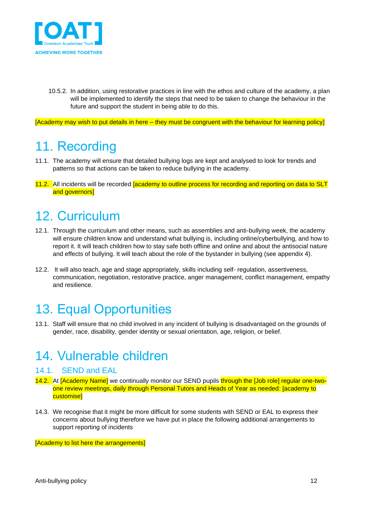

10.5.2. In addition, using restorative practices in line with the ethos and culture of the academy, a plan will be implemented to identify the steps that need to be taken to change the behaviour in the future and support the student in being able to do this.

[Academy may wish to put details in here – they must be congruent with the behaviour for learning policy]

### <span id="page-11-0"></span>11. Recording

- 11.1. The academy will ensure that detailed bullying logs are kept and analysed to look for trends and patterns so that actions can be taken to reduce bullying in the academy.
- 11.2. All incidents will be recorded academy to outline process for recording and reporting on data to SLT and governors]

### <span id="page-11-1"></span>12. Curriculum

- 12.1. Through the curriculum and other means, such as assemblies and anti-bullying week, the academy will ensure children know and understand what bullying is, including online/cyberbullying, and how to report it. It will teach children how to stay safe both offline and online and about the antisocial nature and effects of bullying. It will teach about the role of the bystander in bullying (see appendix 4).
- 12.2. It will also teach, age and stage appropriately, skills including self- regulation, assertiveness, communication, negotiation, restorative practice, anger management, conflict management, empathy and resilience.

## <span id="page-11-2"></span>13. Equal Opportunities

13.1. Staff will ensure that no child involved in any incident of bullying is disadvantaged on the grounds of gender, race, disability, gender identity or sexual orientation, age, religion, or belief.

### <span id="page-11-3"></span>14. Vulnerable children

#### <span id="page-11-4"></span>14.1. SEND and EAL

- 14.2. At [Academy Name] we continually monitor our SEND pupils through the [Job role] regular one-twoone review meetings, daily through Personal Tutors and Heads of Year as needed: [academy to customise]
- 14.3. We recognise that it might be more difficult for some students with SEND or EAL to express their concerns about bullying therefore we have put in place the following additional arrangements to support reporting of incidents

[Academy to list here the arrangements]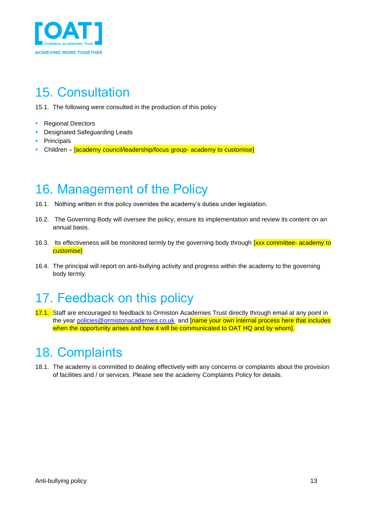

## <span id="page-12-0"></span>15. Consultation

15.1. The following were consulted in the production of this policy

- Regional Directors
- Designated Safeguarding Leads
- Principals
- **EXEC** Children **[academy council/leadership/focus group- academy to customise]**

### <span id="page-12-1"></span>16. Management of the Policy

- 16.1. Nothing written in this policy overrides the academy's duties under legislation.
- 16.2. The Governing Body will oversee the policy, ensure its implementation and review its content on an annual basis.
- 16.3. Its effectiveness will be monitored termly by the governing body through **[xxx committee- academy to** customise]
- 16.4. The principal will report on anti-bullying activity and progress within the academy to the governing body termly.

### <span id="page-12-2"></span>17. Feedback on this policy

17.1. Staff are encouraged to feedback to Ormiston Academies Trust directly through email at any point in the year [policies@ormistonacademies.co.uk](mailto:policies@ormistonacademies.co.uk) and **[name your own internal process here that includes** when the opportunity arises and how it will be communicated to OAT HQ and by whom].

### <span id="page-12-3"></span>18. Complaints

18.1. The academy is committed to dealing effectively with any concerns or complaints about the provision of facilities and / or services. Please see the academy Complaints Policy for details.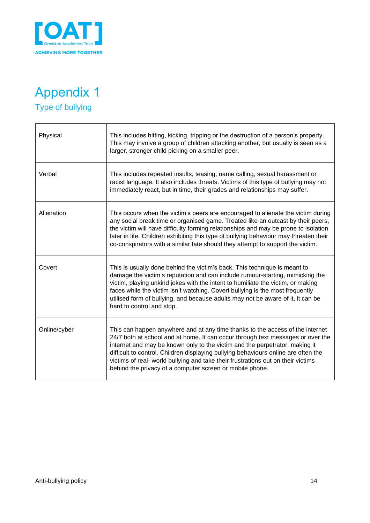

### <span id="page-13-1"></span><span id="page-13-0"></span>Appendix 1 Type of bullying

**r** 

| Physical     | This includes hitting, kicking, tripping or the destruction of a person's property.<br>This may involve a group of children attacking another, but usually is seen as a<br>larger, stronger child picking on a smaller peer.                                                                                                                                                                                                                                                          |
|--------------|---------------------------------------------------------------------------------------------------------------------------------------------------------------------------------------------------------------------------------------------------------------------------------------------------------------------------------------------------------------------------------------------------------------------------------------------------------------------------------------|
| Verbal       | This includes repeated insults, teasing, name calling, sexual harassment or<br>racist language. It also includes threats. Victims of this type of bullying may not<br>immediately react, but in time, their grades and relationships may suffer.                                                                                                                                                                                                                                      |
| Alienation   | This occurs when the victim's peers are encouraged to alienate the victim during<br>any social break time or organised game. Treated like an outcast by their peers,<br>the victim will have difficulty forming relationships and may be prone to isolation<br>later in life. Children exhibiting this type of bullying behaviour may threaten their<br>co-conspirators with a similar fate should they attempt to support the victim.                                                |
| Covert       | This is usually done behind the victim's back. This technique is meant to<br>damage the victim's reputation and can include rumour-starting, mimicking the<br>victim, playing unkind jokes with the intent to humiliate the victim, or making<br>faces while the victim isn't watching. Covert bullying is the most frequently<br>utilised form of bullying, and because adults may not be aware of it, it can be<br>hard to control and stop.                                        |
| Online/cyber | This can happen anywhere and at any time thanks to the access of the internet<br>24/7 both at school and at home. It can occur through text messages or over the<br>internet and may be known only to the victim and the perpetrator, making it<br>difficult to control. Children displaying bullying behaviours online are often the<br>victims of real- world bullying and take their frustrations out on their victims<br>behind the privacy of a computer screen or mobile phone. |

٦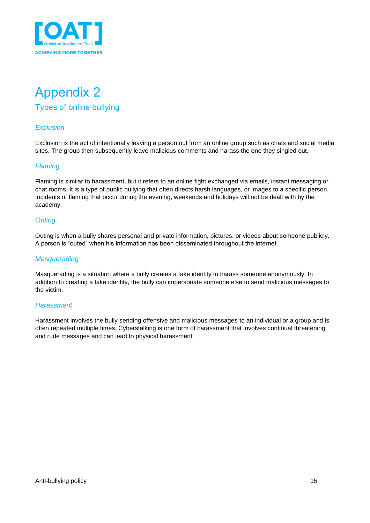

### <span id="page-14-1"></span><span id="page-14-0"></span>Appendix 2 Types of online bullying

#### *Exclusion*

Exclusion is the act of intentionally leaving a person out from an online group such as chats and social media sites. The group then subsequently leave malicious comments and harass the one they singled out.

#### *Flaming*

Flaming is similar to harassment, but it refers to an online fight exchanged via emails, instant messaging or chat rooms. It is a type of public bullying that often directs harsh languages, or images to a specific person. Incidents of flaming that occur during the evening, weekends and holidays will not be dealt with by the academy.

#### *Outing*

Outing is when a bully shares personal and private information, pictures, or videos about someone publicly. A person is "outed" when his information has been disseminated throughout the internet.

#### *Masquerading*

Masquerading is a situation where a bully creates a fake identity to harass someone anonymously. In addition to creating a fake identity, the bully can impersonate someone else to send malicious messages to the victim.

#### *Harassment*

Harassment involves the bully sending offensive and malicious messages to an individual or a group and is often repeated multiple times. Cyberstalking is one form of harassment that involves continual threatening and rude messages and can lead to physical harassment.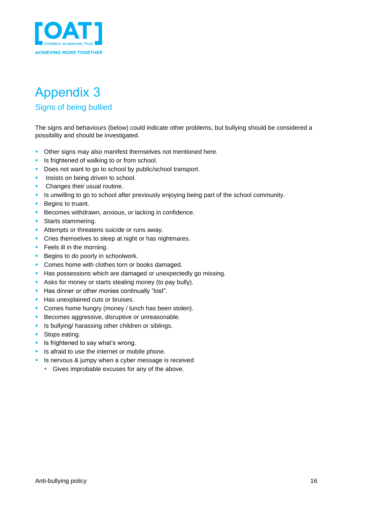

# <span id="page-15-0"></span>Appendix 3

#### <span id="page-15-1"></span>Signs of being bullied

The signs and behaviours (below) could indicate other problems, but bullying should be considered a possibility and should be investigated.

- **Other signs may also manifest themselves not mentioned here.**
- **EXECUTE:** Is frightened of walking to or from school.
- Does not want to go to school by public/school transport.
- **·** Insists on being driven to school.
- **Changes their usual routine.**
- Is unwilling to go to school after previously enjoying being part of the school community.
- Begins to truant.
- **EXECOMES withdrawn, anxious, or lacking in confidence.**
- **•** Starts stammering.
- **E** Attempts or threatens suicide or runs away.
- **•** Cries themselves to sleep at night or has nightmares.
- **•** Feels ill in the morning.
- Begins to do poorly in schoolwork.
- Comes home with clothes torn or books damaged.
- **EXECT** Has possessions which are damaged or unexpectedly go missing.
- **EXEL Asks for money or starts stealing money (to pay bully).**
- Has dinner or other monies continually "lost".
- **EXECUTE:** Has unexplained cuts or bruises.
- **Comes home hungry (money / lunch has been stolen).**
- **EXECOMES aggressive, disruptive or unreasonable.**
- **E** Is bullying/ harassing other children or siblings.
- Stops eating.
- **E** Is frightened to say what's wrong.
- **EXECUTE:** Is afraid to use the internet or mobile phone.
- **EXEC** Is nervous & jumpy when a cyber message is received
	- **EXEC** Gives improbable excuses for any of the above.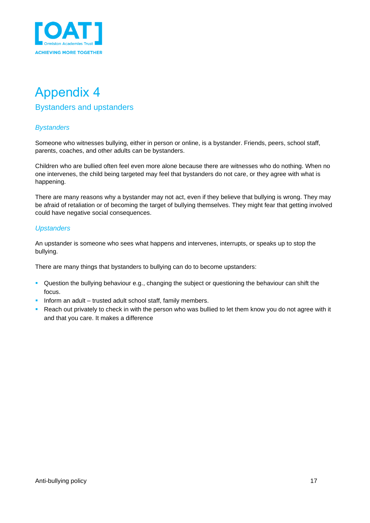

### <span id="page-16-1"></span><span id="page-16-0"></span>Appendix 4 Bystanders and upstanders

#### *Bystanders*

Someone who witnesses bullying, either in person or online, is a bystander. Friends, peers, school staff, parents, coaches, and other adults can be bystanders.

Children who are bullied often feel even more alone because there are witnesses who do nothing. When no one intervenes, the child being targeted may feel that bystanders do not care, or they agree with what is happening.

There are many reasons why a bystander may not act, even if they believe that bullying is wrong. They may be afraid of retaliation or of becoming the target of bullying themselves. They might fear that getting involved could have negative social consequences.

#### *Upstanders*

An upstander is someone who sees what happens and intervenes, interrupts, or speaks up to stop the bullying.

There are many things that bystanders to bullying can do to become upstanders:

- Question the bullying behaviour e.g., changing the subject or questioning the behaviour can shift the focus.
- **·** Inform an adult trusted adult school staff, family members.
- Reach out privately to check in with the person who was bullied to let them know you do not agree with it and that you care. It makes a difference